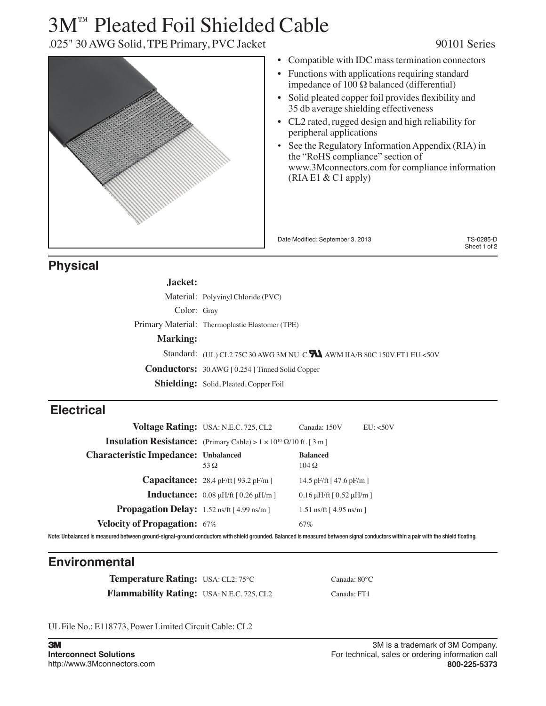# 3M™ Pleated Foil Shielded Cable

.025" 30 AWG Solid, TPE Primary, PVC Jacket 90101 Series

| • Compatible with IDC mass termination connectors                                                                                                               |                           |
|-----------------------------------------------------------------------------------------------------------------------------------------------------------------|---------------------------|
| Functions with applications requiring standard<br>impedance of 100 $\Omega$ balanced (differential)                                                             |                           |
| Solid pleated copper foil provides flexibility and<br>35 db average shielding effectiveness                                                                     |                           |
| CL2 rated, rugged design and high reliability for<br>peripheral applications                                                                                    |                           |
| See the Regulatory Information Appendix (RIA) in<br>the "RoHS compliance" section of<br>www.3Mconnectors.com for compliance information<br>$(RIAE1 & C1$ apply) |                           |
|                                                                                                                                                                 |                           |
|                                                                                                                                                                 |                           |
| Date Modified: September 3, 2013                                                                                                                                | TS-0285-D<br>Sheet 1 of 2 |

# **Physical**

| Jacket:         |                                                                             |
|-----------------|-----------------------------------------------------------------------------|
|                 | Material: Polyvinyl Chloride (PVC)                                          |
| Color: Gray     |                                                                             |
|                 | Primary Material: Thermoplastic Elastomer (TPE)                             |
| <b>Marking:</b> |                                                                             |
|                 | Standard: (UL) CL2 75C 30 AWG 3M NU C $\sum$ AWM IIA/B 80C 150V FT1 EU <50V |
|                 | <b>Conductors:</b> 30 AWG [0.254 ] Tinned Solid Copper                      |
|                 | <b>Shielding:</b> Solid, Pleated, Copper Foil                               |

# **Electrical**

|                                                            | Voltage Rating: USA: N.E.C. 725, CL2                                                     | Canada: 150V<br>EU: <50V                  |  |
|------------------------------------------------------------|------------------------------------------------------------------------------------------|-------------------------------------------|--|
|                                                            | <b>Insulation Resistance:</b> (Primary Cable) > $1 \times 10^{10} \Omega/10$ ft. [ 3 m ] |                                           |  |
| <b>Characteristic Impedance: Unbalanced</b>                | 53 $\Omega$                                                                              | <b>Balanced</b><br>$104\Omega$            |  |
|                                                            | <b>Capacitance:</b> 28.4 pF/ft [93.2 pF/m]                                               | 14.5 pF/ft $[47.6$ pF/m $]$               |  |
|                                                            | <b>Inductance:</b> $0.08 \mu H/\text{ft}$ [ $0.26 \mu H/m$ ]                             | $0.16 \mu H/\text{ft}$ [ $0.52 \mu H/m$ ] |  |
| <b>Propagation Delay:</b> $1.52 \text{ ns/ft}$ [4.99 ns/m] |                                                                                          | $1.51$ ns/ft $[4.95$ ns/m $]$             |  |
| <b>Velocity of Propagation: 67%</b>                        |                                                                                          | 67%                                       |  |

Note: Unbalanced is measured between ground-signal-ground conductors with shield grounded. Balanced is measured between signal conductors within a pair with the shield floating.

# **Environmental**

**Temperature Rating:** USA: CL2: 75°C Canada: 80°C **Flammability Rating:** USA: N.E.C. 725, CL2 Canada: FT1

UL File No.: E118773, Power Limited Circuit Cable: CL2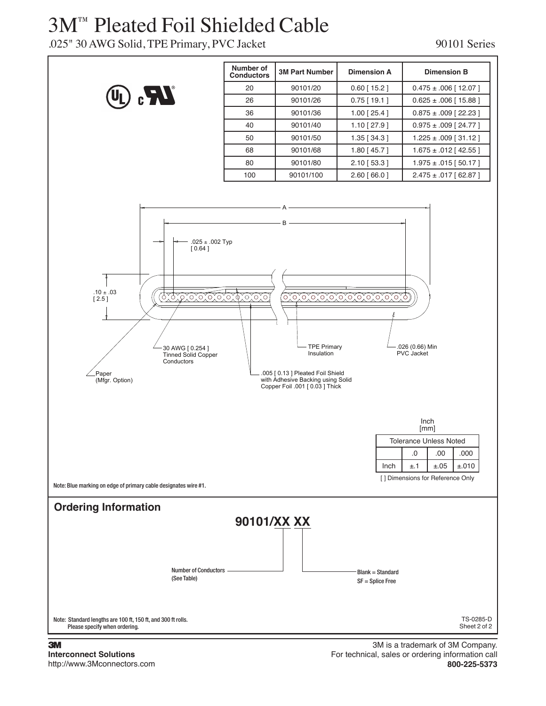# 3M™ Pleated Foil Shielded Cable

### .025" 30 AWG Solid, TPE Primary, PVC Jacket 90101 Series



#### 3 **Interconnect Solutions** http://www.3Mconnectors.com

3M is a trademark of 3M Company. For technical, sales or ordering information call **800-225-5373**